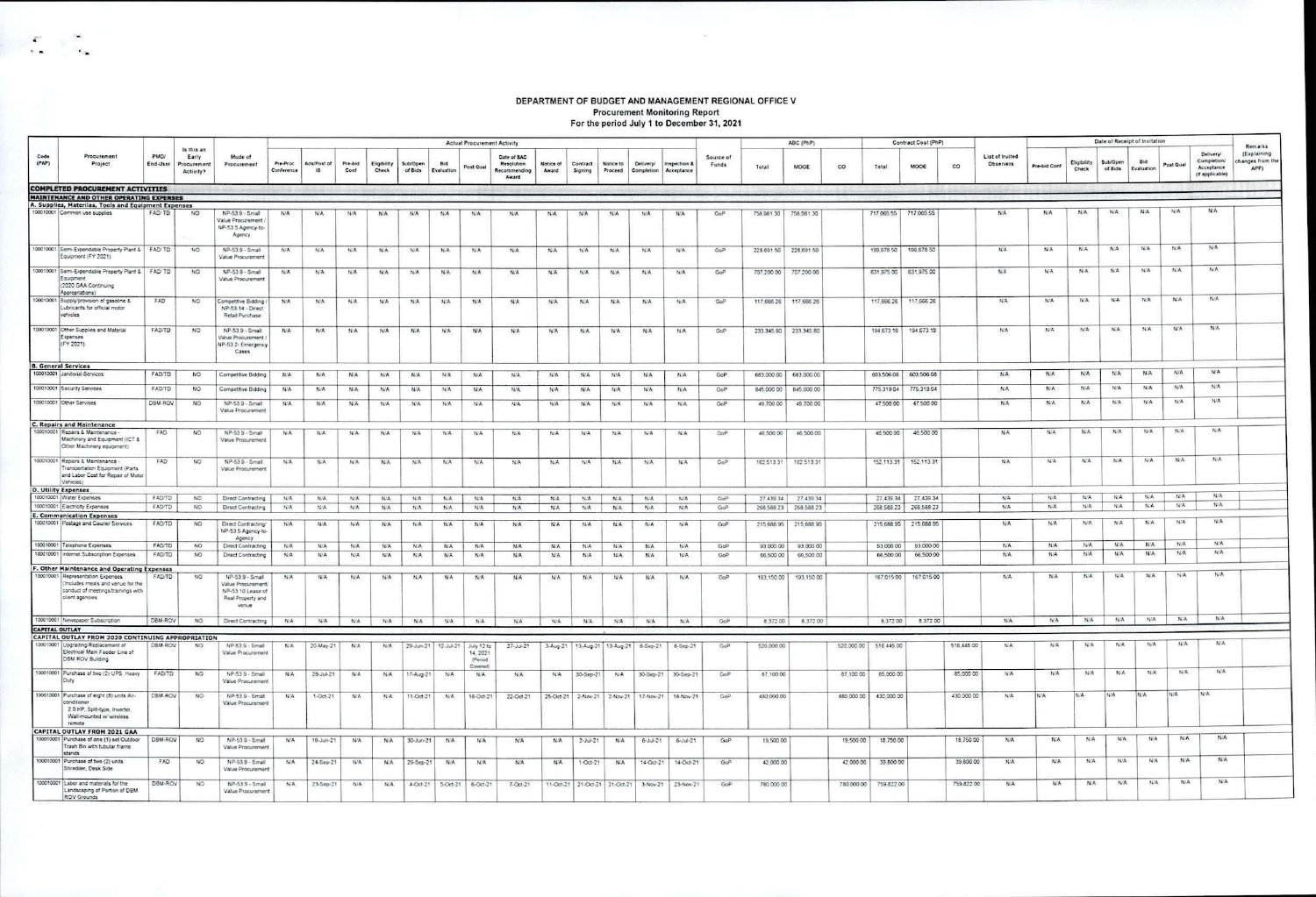## DEPARTMENT OF BUDGET AND MANAGEMENT REGIONAL OFFICE V Procurement Monitoring Report<br>For the period July 1 to December 31, 2021

|               |                                                                                                                                 |                  |                                                        |                                                                                         |                        | <b>Actual Procurement Activity</b><br>ABC (PhP) |                 |                      |                            |                   |                                    |                                                    |                    |                               |                      |                                             |               |                    | Contract Cost (PhP) |              |            |            |            |            | Date of Receipt of Invitation       |              |                      |                     |                          |            |                                                          |                                                    |
|---------------|---------------------------------------------------------------------------------------------------------------------------------|------------------|--------------------------------------------------------|-----------------------------------------------------------------------------------------|------------------------|-------------------------------------------------|-----------------|----------------------|----------------------------|-------------------|------------------------------------|----------------------------------------------------|--------------------|-------------------------------|----------------------|---------------------------------------------|---------------|--------------------|---------------------|--------------|------------|------------|------------|------------|-------------------------------------|--------------|----------------------|---------------------|--------------------------|------------|----------------------------------------------------------|----------------------------------------------------|
| Code<br>(PAP) | Procurement<br>Project                                                                                                          | PMO/<br>End-User | Is this an<br>Early<br>Procurement<br><b>Activity?</b> | Mode of<br>Procurement                                                                  | Pre-Proc<br>Conference | Ads/Post of<br>$\mathbf{H}$                     | Pre-bid<br>Conf | Eligibility<br>Check | <b>SubiOpen</b><br>of Bids | Bid<br>Evaluation | Post Qual                          | Date of BAC<br>Resolution<br>Recommending<br>Award | Notice of<br>Award | Contract<br>Signing           | Notice to<br>Proceed | Deliveryl<br>Completion Acceptance          | Inspection &  | Source of<br>Funds | Total               | MOOE         | co         | Total      | MOOE       | co         | List of Invited<br><b>Observers</b> | Pre-bid Conf | Eligibility<br>Check | Sub/Open<br>of Bids | <b>Bid</b><br>Evaluation | Post Qual  | Deliveryl<br>Completion<br>Acceptance<br>(If applicable) | Remarks<br>(Explaining<br>changes from the<br>APP) |
|               | <b>COMPLETED PROCUREMENT ACTIVITIES</b>                                                                                         |                  |                                                        |                                                                                         |                        |                                                 |                 |                      |                            |                   |                                    |                                                    |                    |                               |                      |                                             |               |                    |                     |              |            |            |            |            |                                     |              |                      |                     |                          |            |                                                          |                                                    |
|               | <b>MAINTENANCE AND OTHER OPERATING EXPENSES</b><br>A. Supplies, Materilas, Tools and Equipment Expenses                         |                  |                                                        |                                                                                         |                        |                                                 |                 |                      |                            |                   |                                    |                                                    |                    |                               |                      |                                             |               |                    |                     |              |            |            |            |            |                                     |              |                      |                     |                          |            |                                                          |                                                    |
|               | 100010001 Common use supplies                                                                                                   | FAD/TD           | NO <sub>1</sub>                                        | NP-53 9 - Small<br>Value Procurement<br>NP-53 5 Agency-to-<br>Agency                    | N/A                    | N/A                                             | N/A             | N/A                  | N/A                        | N/A               | N/A                                | <b>N/A</b>                                         | <b>N/A</b>         | N/A                           | N/A                  | N/A                                         | N/A           | GoP                | 758,981.30          | 758,981.30   |            | 717.065.55 | 717.065.55 |            | N/A                                 | N/A          | N/A                  | N/A                 | N/A                      | N/A        | N/A                                                      |                                                    |
|               | 100010001 Semi-Expendable Property Plant & FAD/ TD.<br>Equipment (FY 2021)                                                      |                  | NO                                                     | NP-53.9 - Small<br>Value Procurement                                                    | N/A                    | N/A                                             | N/A             | N/A                  | N/A                        | N/A               | NIA                                | <b>N/A</b>                                         | N/A                | N/A                           | <b>NIA</b>           | N/A                                         | N/A           | GoP                | 228 691.50          | 228.691.50   |            | 199,678.50 | 199,678.50 |            | N/A                                 | N/A          | N/A                  | <b>N/A</b>          | N/A                      | N/A        | N/A                                                      |                                                    |
|               | 100010001 Semi-Expendable Property Plant & FAD/TD<br>Equipment<br>(2020 GAA Continuing<br>Appropriations)                       |                  | NO                                                     | NP-53.9 - Small<br>Value Procurement                                                    | N/A                    | N/A                                             | N/A             | N/A                  | N/A                        | N/A               | <b>N/A</b>                         | N/A                                                | N/A                | N/A                           | <b>N/A</b>           | N/A                                         | N/A           | GoP                | 707,200.00          | 707,200.00   |            | 631,975.00 | 631,975.00 |            | N/A                                 | N/A          | <b>N/A</b>           | N/A                 | N/A                      | N/A        | N/A                                                      |                                                    |
|               | 100010001 Supply/provision of gasoline &<br>Lubricants for official motor<br>vehicles                                           | FAD              | NO                                                     | Competitive Bidding<br>NP-53 14 - Direct<br>Retail Purchase                             | N/A                    | N/A                                             | N/A             | <b>N/A</b>           | NA                         | NA                | N/A                                | <b>N/A</b>                                         | NA                 | <b>NIA</b>                    | NA.                  | N/A                                         | N/A           | GoP                | 117,666.26          | 117,666.26   |            | 117,666.26 | 117,666.26 |            | NA.                                 | N/A          | N/A                  | N/A                 | NA                       | N/A        | NA                                                       |                                                    |
|               | 100010001 Other Supplies and Material<br>Expenses<br>(FY 2021)                                                                  | FAD/TD           | NO                                                     | NP-53 9 - Small<br>Value Procurement<br>NP-53.2- Emergency<br>Cases                     | N/A                    | N/A                                             | N/A             | N/A                  | N/A                        | N/A               | <b>N/A</b>                         | N/A                                                | NA                 | N/A                           | <b>N/A</b>           | N/A                                         | N/A           | GoP                | 233.345.80          | 233, 345, 80 |            | 194 673 19 | 194,673.19 |            | NA                                  | N/A          | N/A                  | N/A                 | N/A                      | NG         | N/A                                                      |                                                    |
|               | <b>B. General Services</b>                                                                                                      |                  |                                                        |                                                                                         |                        |                                                 |                 |                      |                            |                   |                                    |                                                    |                    |                               |                      |                                             |               |                    |                     |              |            |            |            |            |                                     |              |                      |                     | <b>NA</b>                | N/A        | <b>NA</b>                                                |                                                    |
|               | 100010001 Janiforial Services                                                                                                   | FAD/TD           | NO                                                     | Competitive Bidding                                                                     | <b>N/A</b>             | N/A                                             | <b>N/A</b>      | N/A                  | N/A                        | N/A               | N/A                                | <b>N/A</b>                                         | N/A                | N/A                           | N/A                  | N/A                                         | N/A           | GoP                | 683,000.00          | 683,000.00   |            | 603,506.08 | 603,506.08 |            | N/A                                 | N/A          | N/A                  | N/A                 |                          |            |                                                          |                                                    |
|               | 100010001 Security Services                                                                                                     | FAD/TD           | NO.                                                    | Competitive Bidding                                                                     | N/A                    | N/A                                             | N/A             | N/A                  | N/A                        | N/A               | N/A                                | N/A                                                | N/A                | N/A                           | N/A                  | N/A                                         | N/A           | GoP                | 845,000.00          | 845,000.00   |            | 775,319.04 | 775,319.04 |            | N/A                                 | N/A          | N/A                  | N/A                 | N/A                      | N/A        | NIA                                                      |                                                    |
|               | 100010001 Other Services                                                                                                        | DBM-ROV          | NO.                                                    | NP-53.9 - Small<br>Value Procurement                                                    | N/A                    | <b>N/A</b>                                      | N/A             | <b>N/A</b>           | N/A                        | <b>N/A</b>        | <b>N/A</b>                         | N/A                                                | N/A                | N/A                           | N/A                  | <b>N/A</b>                                  | N/A           | GoP                | 49,700.00           | 49,700.00    |            | 47,500.00  | 47,500.00  |            | N/A                                 | <b>N/A</b>   | NA                   | N/A                 | N/A                      | N/A        | N/A                                                      |                                                    |
|               | C. Repairs and Maintenance<br>100010001 Repairs & Maintenance -<br>Machinery and Equipment (ICT &<br>Other Machinery equipment) | FAD              | NO <sub>1</sub>                                        | NP-53 9 - Small<br>Value Procurement                                                    | N/A.                   | N/A                                             | N/A             | N/A                  | N/A                        | N/A               | N/A                                | N/A                                                | N/A                | NA                            | N/A                  | <b>N/A</b>                                  | N/A           | GoP                | 46,500.00           | 46,500.00    |            | 46,500.00  | 46,500.00  |            | NA                                  | N/A          | <b>N/A</b>           | N/A                 | N/A                      | N/A        | N/A                                                      |                                                    |
|               | 100010001 Repairs & Maintenance -<br>Transportation Equipment (Parts)<br>and Labor Cost for Repair of Motor<br>Vehicles)        | FAD.             | NO                                                     | NP-539 - Small<br>Value Procurement                                                     | N/A                    | N/A                                             | N/A             | N/A                  | 24/4                       | N/A               | N/A                                | N/A                                                | N/A                | N/A                           | N/A                  | N/A                                         | <b>N/A</b>    | GoP                | 162 513 31          | 162.513.31   |            | 152.113.31 | 152.113.31 |            | NA.                                 | NA           | N/A                  | N/A                 | N/A                      | N/A        | N/A:                                                     |                                                    |
|               | D. Utility Expenses                                                                                                             |                  |                                                        |                                                                                         |                        |                                                 |                 |                      |                            |                   |                                    |                                                    |                    |                               |                      |                                             |               |                    |                     |              |            |            |            |            |                                     |              |                      |                     |                          |            |                                                          |                                                    |
|               | 100010001 Water Expenses                                                                                                        | FADTO            | NO                                                     | Direct Contracting                                                                      | NA                     | N/A                                             | N/A             | N/A                  | <b>N/A</b>                 | NA                | N/A                                | NA.                                                | N/A                | <b>N/A</b>                    | NA                   | NA                                          | N/A           | GoP                | 27,439.34           | 27,439.34    |            | 27,439.34  | 27,439.34  |            | N/A                                 | N/A          | N/A                  | NA                  | N/A                      | N/A<br>N/A | N/A<br>N/A                                               |                                                    |
|               | 100010001 Electricity Expenses<br><b>E. Communication Expenses</b>                                                              | FADITD           | NO                                                     | Direct Contracting                                                                      | N/A                    | N/A                                             | N/A             | <b>N/A</b>           | N/A                        | N/A               | N/A                                | N/A                                                | N/A                | N/A                           | N/A                  | N/A                                         | N/A           | GoP                | 268,588.23          | 268,588.23   |            | 268,588.23 | 268,588.23 |            | NA                                  | N/A          | N/A                  | N/A                 | N/A                      |            |                                                          |                                                    |
|               | 100010001 Postage and Courier Services                                                                                          | FAD/TD           | NO.                                                    | Direct Contracting/<br>NP-53.5 Agency-to<br>Agency                                      | N/A                    | <b>N/A</b>                                      | N/A             | N/A                  | N/A                        | N/A               | N/A                                | N/A                                                | <b>N/A</b>         | N/A                           | N/A                  | N/A                                         | N/A           | GoP                | 215,688.95          | 215 688 95   |            | 215 688 95 | 215 688 95 |            | NA.                                 | N/A          | N/A                  | N/A                 | N/A                      | N/A        | N/A                                                      |                                                    |
|               | 100010001 Telephone Expenses                                                                                                    | FAD/TD           | NO.                                                    | Direct Contracting                                                                      | <b>N/A</b>             | N/A                                             | N/A             | N/A                  | NA                         | N/A               | N/A                                | N/A                                                | N/A                | N/A                           | N/A                  | N/A                                         | N/A           | GoP                | 93 000 00           | 93 000.00    |            | 93,000.00  | 93,000.00  |            | NA.                                 | N/A          | NA.                  | N/A                 | N/A                      | N/A        | N/A:                                                     |                                                    |
|               | 100010001 Internet Subscription Expenses<br>F. Other Maintenance and Operating Expenses                                         | FADTD            | NO.                                                    | Direct Contracting                                                                      | <b>N/A</b>             | N/A                                             | N/A             | N/A                  | N/A                        | N/A               | N/A                                | N/A                                                | N/A                | N/A                           | N/A                  | <b>NA</b>                                   | <b>N/A</b>    | GoP                | 66,500.00           | 66,500.00    |            | 66,500.00  | 66,500.00  |            | NA.                                 | N/A          | NA                   | N/A                 | N/A                      | N/A        | NA                                                       |                                                    |
|               | 100010001 Representation Expenses<br>(Includes meals and venue for the<br>conduct of meetings/trainings with<br>client agencies | FADTO            | NO.                                                    | NP-53 9 - Small<br>Value Procurement<br>NP-53.10 Lease of<br>Real Property and<br>venue | N/A                    | N/A                                             | N/A             | N/A                  | N/A                        | N/A               | N/A                                | N/A                                                | N/A                | N/A                           | N/A                  | N/A                                         | N/A           | Gol                | 193.150.00          | 193.150.00   |            | 167,015.00 | 167.015.00 |            | N/A                                 | N/A          | N/A                  | <b>N/A</b>          | N/A                      | N/A        | <b>N/A</b>                                               |                                                    |
|               | 100010001 Newspaper Subscription                                                                                                | DBM-ROV          | NO                                                     | Direct Contracting                                                                      | NA                     | N/A                                             | N/A             | N/A                  | N/A                        | N/A               | NA                                 | <b>N/A</b>                                         | N/A                | N/A                           | N/A                  | N/A                                         | N/A           | GoP                | 8,372.00            | 8,372.00     |            | 8,372.00   | 8,372.00   |            | NA                                  | N/A          | N/A                  | N/A                 | NA                       | N/A        | NA                                                       |                                                    |
|               | <b>CAPITAL OUTLAY</b><br>CAPITAL OUTLAY FROM 2020 CONTINUING APPROPRIATION                                                      |                  |                                                        |                                                                                         |                        |                                                 |                 |                      |                            |                   |                                    |                                                    |                    |                               |                      |                                             |               |                    |                     |              |            |            |            |            |                                     |              |                      |                     |                          |            |                                                          |                                                    |
|               | 100010001 Upgrading/Replacement of<br>Electrical Main Feeder Line of<br><b>DBM ROV Building</b>                                 | DBM-ROV          | NO.                                                    | NP-53.9 - Small<br>Value Procurement                                                    | N/A                    | 20-May-21                                       | N/A             | N/A                  | 29-Jun-21 12-Jul-21        |                   | July 12 to<br>14, 2021<br>(Period) | $27 - h + 21$                                      |                    |                               |                      | 3-Aug-21   13-Aug-21   13-Aug-21   8-Sep-21 | 8-Sep-21      | GoP                | 520,000.00          |              | 520,000.00 | 516,445.00 |            | 516,445.00 | NA.                                 | N/L          | NA                   | N/A                 | <b>N/A</b>               | N/A        | N/A                                                      |                                                    |
|               | 100010001 Purchase of two (2) UPS, Heavy<br>Duty                                                                                | FADTD.           | NO                                                     | NP-539 - Small<br>Value Procurement                                                     | N/A                    | $28 - 34 + 21$                                  | N/A             | N/A                  | 17-Aug-21                  | NA                | Covered<br>N/A                     | NA                                                 | N/A                | 30-Sep-21                     | N/A                  | 30-Sep-21                                   | 30-Sep-21     | GoP                | 87,100.00           |              | 87,100.00  | 85,000.00  |            | 85,000.00  | <b>NA</b>                           | N/A          | NIA                  | N/A                 | NA                       | N/A        | N/A                                                      |                                                    |
|               | 100010001 Purchase of eight (8) units Air-<br>mátioner                                                                          | DBM-ROV          | NO.                                                    | NP-53.9 - Small<br>Value Procurement                                                    | N/A                    | $1-Oct-21$                                      | N/A             | NA.                  | 11-Oct-21                  | N/A               | 18-Oct-21                          | 22-Oct-21                                          | 25-Oct-21          |                               | 2-Nov-21 2-Nov-21    | 17-Nov-21                                   | 18-Nov-21     | GoP                | 480,000.00          |              | 480,000.00 | 430,000.00 |            | 430,000.00 | <b>NA</b>                           | N/A          | N/A                  | N/A                 | N/A                      | N/A        | N/A                                                      |                                                    |
|               | 2.0 HP, Split-type, Inverter<br>Wall-mounted w/ wireless<br>remote                                                              |                  |                                                        |                                                                                         |                        |                                                 |                 |                      |                            |                   |                                    |                                                    |                    |                               |                      |                                             |               |                    |                     |              |            |            |            |            |                                     |              |                      |                     |                          |            |                                                          |                                                    |
|               | CAPITAL OUTLAY FROM 2021 GAA<br>100010001 Purchase of one (1) set Outdoor                                                       | DBM-ROV          | NO                                                     | NP-53.9 - Small                                                                         | N/A                    | 16-Jun-21                                       | N/A             | N/A                  | $30 - Jun - 21$            | N/A               | NA                                 | N/A                                                | NA                 | $2 -$ Jul-21                  | N/A                  | 6-Jul-21                                    | $6 - Jw - 21$ | GoP                | 19,500.00           |              | 19,500.00  | 18,750.00  |            | 18,750.00  | N/A                                 | N/A          | N/A                  | N/A                 | N/A                      | N/A        | N/A                                                      |                                                    |
|               | Trash Bin with tubular frame<br>stands<br>100010001 Purchase of two (2) units                                                   | FAD              | NO.                                                    | Value Procurement<br>$NP-53.9 - Small$                                                  | N/A                    | 24-Sep-21                                       | N/A             | 19A                  | 29-Sep-21                  | N/A               | <b>N/A</b>                         | N/A                                                | N/A                | $1-Oct-21$                    | N/A                  | 14-Oct-21                                   | 14-Oct-21     | $C_1 \cap P$       | 42,000.00           |              | 42 000 00  | 39,800.00  |            | 39,800.00  | N/A                                 | N/A          | N/A                  | N/A                 | N/A                      | N/A        | N/A                                                      |                                                    |
|               | Shredder, Desk Side<br>100010001 Labor and materials for the                                                                    | DBM-ROV          | <b>NO</b>                                              | Value Procuremen<br>NP-53.9 - Small                                                     | N/A                    | 23-Sep-21                                       | NIA             | <b>N/A</b>           | 4-Oct-21                   |                   | 5-Oct-21   6-Oct-21                | $7 - Oct - 21$                                     |                    | 11-Oct-21 21-Oct-21 21-Oct-21 |                      | 3-Nov-21                                    | 23-Nov-21     | GoP                | 780,000.00          |              | 780,000.00 | 759.822.00 |            | 759,822.00 | N/A                                 | N/A          | N/A                  | N/A                 | N/A                      | <b>N/A</b> | N/A                                                      |                                                    |
|               | Landscaping of Portion of DBM<br><b>ROV Grounds</b>                                                                             |                  |                                                        | Value Procurement                                                                       |                        |                                                 |                 |                      |                            |                   |                                    |                                                    |                    |                               |                      |                                             |               |                    |                     |              |            |            |            |            |                                     |              |                      |                     |                          |            |                                                          |                                                    |

 $\label{eq:1} \mathcal{C}=\mathcal{C}^{\prime}=\mathcal{C}^{\prime}$